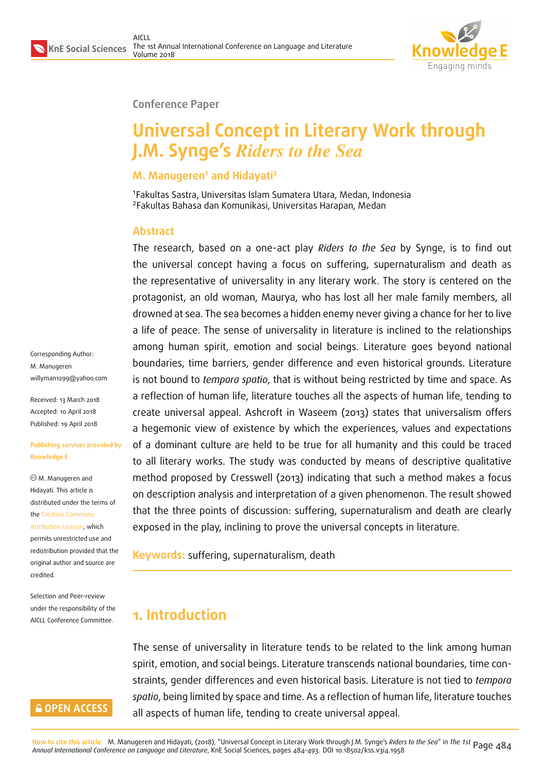

#### **Conference Paper**

# **Universal Concept in Literary Work through J.M. Synge's** *Riders to the Sea*

#### **M. Manugeren<sup>1</sup> and Hidayati<sup>2</sup>**

1 Fakultas Sastra, Universitas Islam Sumatera Utara, Medan, Indonesia 2 Fakultas Bahasa dan Komunikasi, Universitas Harapan, Medan

#### **Abstract**

The research, based on a one-act play *Riders to the Sea* by Synge, is to find out the universal concept having a focus on suffering, supernaturalism and death as the representative of universality in any literary work. The story is centered on the protagonist, an old woman, Maurya, who has lost all her male family members, all drowned at sea. The sea becomes a hidden enemy never giving a chance for her to live a life of peace. The sense of universality in literature is inclined to the relationships among human spirit, emotion and social beings. Literature goes beyond national boundaries, time barriers, gender difference and even historical grounds. Literature is not bound to *tempora spatio*, that is without being restricted by time and space. As a reflection of human life, literature touches all the aspects of human life, tending to create universal appeal. Ashcroft in Waseem (2013) states that universalism offers a hegemonic view of existence by which the experiences, values and expectations of a dominant culture are held to be true for all humanity and this could be traced to all literary works. The study was conducted by means of descriptive qualitative method proposed by Cresswell (2013) indicating that such a method makes a focus on description analysis and interpretation of a given phenomenon. The result showed that the three points of discussion: suffering, supernaturalism and death are clearly exposed in the play, inclining to prove the universal concepts in literature.

**Keywords:** suffering, supernaturalism, death

## **1. Introduction**

The sense of universality in literature tends to be related to the link among human spirit, emotion, and social beings. Literature transcends national boundaries, time constraints, gender differences and even historical basis. Literature is not tied to *tempora spatio*, being limited by space and time. As a reflection of human life, literature touches all aspects of human life, tending to create universal appeal.

Corresponding Author: M. Manugeren willyman1299@yahoo.com

Received: 13 March 2018 Accepted: 10 April 2018 [Published: 19 April 2018](mailto:willyman1299@yahoo.com)

#### **Publishing services provided by Knowledge E**

M. Manugeren and Hidayati. This article is distributed under the terms of the Creative Commons

Attribution License, which permits unrestricted use and redistribution provided that the ori[ginal author and sou](https://creativecommons.org/licenses/by/4.0/)rce are [credited.](https://creativecommons.org/licenses/by/4.0/)

Selection and Peer-review under the responsibility of the AICLL Conference Committee.

### **GOPEN ACCESS**

<mark>How to cite this article</mark>: M. Manugeren and Hidayati, (2018), "Universal Concept in Literary Work through J.M. Synge's *Riders to the Sed"* in *The 1st* Page 484<br>Annual International Conference on Language and Literatu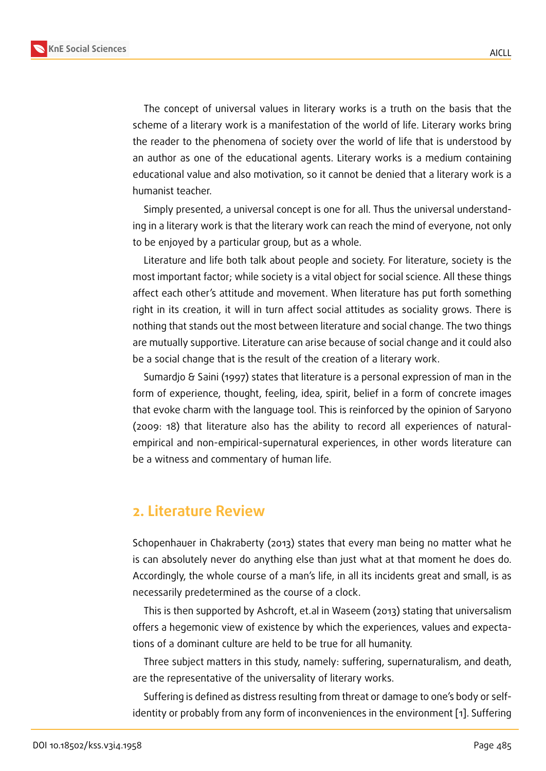The concept of universal values in literary works is a truth on the basis that the scheme of a literary work is a manifestation of the world of life. Literary works bring the reader to the phenomena of society over the world of life that is understood by an author as one of the educational agents. Literary works is a medium containing educational value and also motivation, so it cannot be denied that a literary work is a humanist teacher.

Simply presented, a universal concept is one for all. Thus the universal understanding in a literary work is that the literary work can reach the mind of everyone, not only to be enjoyed by a particular group, but as a whole.

Literature and life both talk about people and society. For literature, society is the most important factor; while society is a vital object for social science. All these things affect each other's attitude and movement. When literature has put forth something right in its creation, it will in turn affect social attitudes as sociality grows. There is nothing that stands out the most between literature and social change. The two things are mutually supportive. Literature can arise because of social change and it could also be a social change that is the result of the creation of a literary work.

Sumardjo & Saini (1997) states that literature is a personal expression of man in the form of experience, thought, feeling, idea, spirit, belief in a form of concrete images that evoke charm with the language tool. This is reinforced by the opinion of Saryono (2009: 18) that literature also has the ability to record all experiences of naturalempirical and non-empirical-supernatural experiences, in other words literature can be a witness and commentary of human life.

### **2. Literature Review**

Schopenhauer in Chakraberty (2013) states that every man being no matter what he is can absolutely never do anything else than just what at that moment he does do. Accordingly, the whole course of a man's life, in all its incidents great and small, is as necessarily predetermined as the course of a clock.

This is then supported by Ashcroft, et.al in Waseem (2013) stating that universalism offers a hegemonic view of existence by which the experiences, values and expectations of a dominant culture are held to be true for all humanity.

Three subject matters in this study, namely: suffering, supernaturalism, and death, are the representative of the universality of literary works.

Suffering is defined as distress resulting from threat or damage to one's body or selfidentity or probably from any form of inconveniences in the environment [1]. Suffering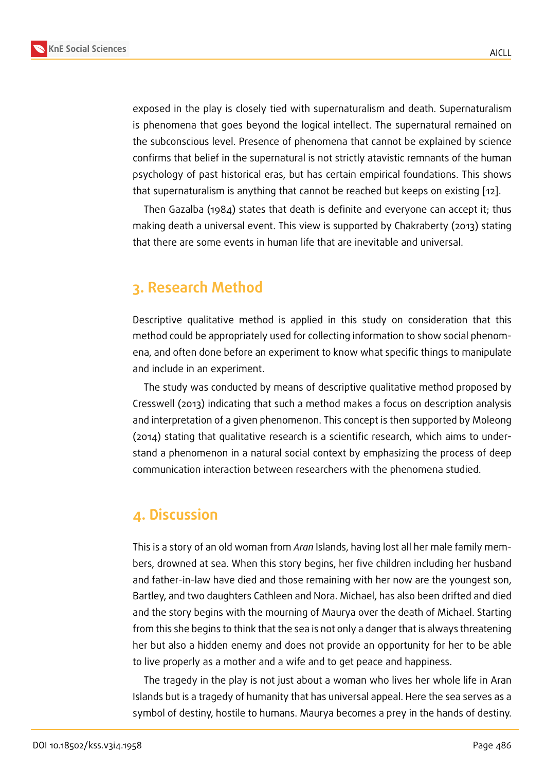exposed in the play is closely tied with supernaturalism and death. Supernaturalism is phenomena that goes beyond the logical intellect. The supernatural remained on the subconscious level. Presence of phenomena that cannot be explained by science confirms that belief in the supernatural is not strictly atavistic remnants of the human psychology of past historical eras, but has certain empirical foundations. This shows that supernaturalism is anything that cannot be reached but keeps on existing [12].

Then Gazalba (1984) states that death is definite and everyone can accept it; thus making death a universal event. This view is supported by Chakraberty (2013) [stat](#page-8-0)ing that there are some events in human life that are inevitable and universal.

## **3. Research Method**

Descriptive qualitative method is applied in this study on consideration that this method could be appropriately used for collecting information to show social phenomena, and often done before an experiment to know what specific things to manipulate and include in an experiment.

The study was conducted by means of descriptive qualitative method proposed by Cresswell (2013) indicating that such a method makes a focus on description analysis and interpretation of a given phenomenon. This concept is then supported by Moleong (2014) stating that qualitative research is a scientific research, which aims to understand a phenomenon in a natural social context by emphasizing the process of deep communication interaction between researchers with the phenomena studied.

## **4. Discussion**

This is a story of an old woman from *Aran* Islands, having lost all her male family members, drowned at sea. When this story begins, her five children including her husband and father-in-law have died and those remaining with her now are the youngest son, Bartley, and two daughters Cathleen and Nora. Michael, has also been drifted and died and the story begins with the mourning of Maurya over the death of Michael. Starting from this she begins to think that the sea is not only a danger that is always threatening her but also a hidden enemy and does not provide an opportunity for her to be able to live properly as a mother and a wife and to get peace and happiness.

The tragedy in the play is not just about a woman who lives her whole life in Aran Islands but is a tragedy of humanity that has universal appeal. Here the sea serves as a symbol of destiny, hostile to humans. Maurya becomes a prey in the hands of destiny.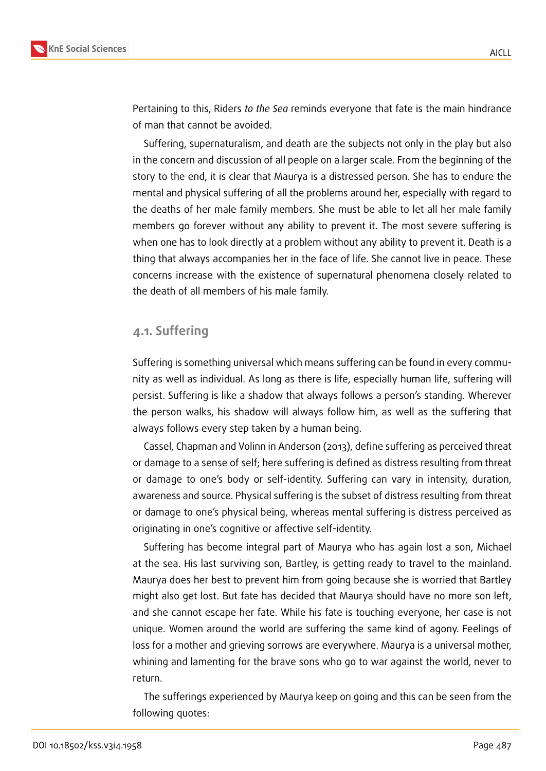

Pertaining to this, Riders *to the Sea* reminds everyone that fate is the main hindrance of man that cannot be avoided.

Suffering, supernaturalism, and death are the subjects not only in the play but also in the concern and discussion of all people on a larger scale. From the beginning of the story to the end, it is clear that Maurya is a distressed person. She has to endure the mental and physical suffering of all the problems around her, especially with regard to the deaths of her male family members. She must be able to let all her male family members go forever without any ability to prevent it. The most severe suffering is when one has to look directly at a problem without any ability to prevent it. Death is a thing that always accompanies her in the face of life. She cannot live in peace. These concerns increase with the existence of supernatural phenomena closely related to the death of all members of his male family.

### **4.1. Suffering**

Suffering is something universal which means suffering can be found in every community as well as individual. As long as there is life, especially human life, suffering will persist. Suffering is like a shadow that always follows a person's standing. Wherever the person walks, his shadow will always follow him, as well as the suffering that always follows every step taken by a human being.

Cassel, Chapman and Volinn in Anderson (2013), define suffering as perceived threat or damage to a sense of self; here suffering is defined as distress resulting from threat or damage to one's body or self-identity. Suffering can vary in intensity, duration, awareness and source. Physical suffering is the subset of distress resulting from threat or damage to one's physical being, whereas mental suffering is distress perceived as originating in one's cognitive or affective self-identity.

Suffering has become integral part of Maurya who has again lost a son, Michael at the sea. His last surviving son, Bartley, is getting ready to travel to the mainland. Maurya does her best to prevent him from going because she is worried that Bartley might also get lost. But fate has decided that Maurya should have no more son left, and she cannot escape her fate. While his fate is touching everyone, her case is not unique. Women around the world are suffering the same kind of agony. Feelings of loss for a mother and grieving sorrows are everywhere. Maurya is a universal mother, whining and lamenting for the brave sons who go to war against the world, never to return.

The sufferings experienced by Maurya keep on going and this can be seen from the following quotes: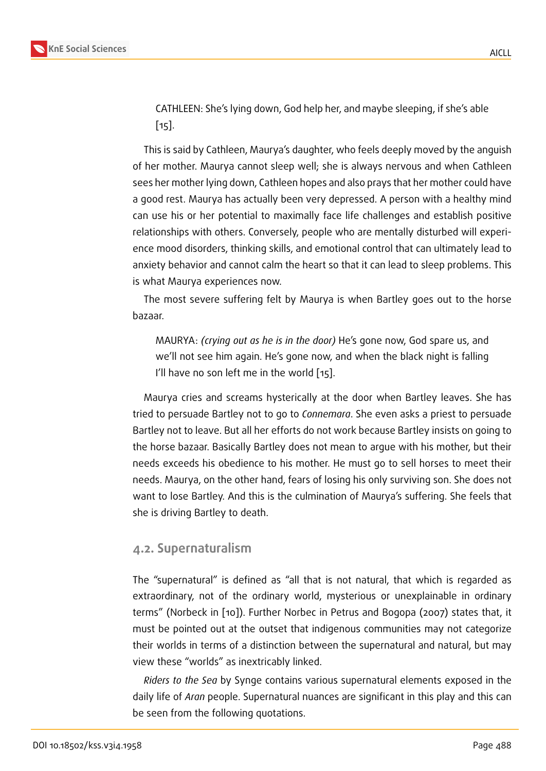CATHLEEN: She's lying down, God help her, and maybe sleeping, if she's able [15].

This is said by Cathleen, Maurya's daughter, who feels deeply moved by the anguish of he[r m](#page-9-0)other. Maurya cannot sleep well; she is always nervous and when Cathleen sees her mother lying down, Cathleen hopes and also prays that her mother could have a good rest. Maurya has actually been very depressed. A person with a healthy mind can use his or her potential to maximally face life challenges and establish positive relationships with others. Conversely, people who are mentally disturbed will experience mood disorders, thinking skills, and emotional control that can ultimately lead to anxiety behavior and cannot calm the heart so that it can lead to sleep problems. This is what Maurya experiences now.

The most severe suffering felt by Maurya is when Bartley goes out to the horse bazaar.

MAURYA: *(crying out as he is in the door)* He's gone now, God spare us, and we'll not see him again. He's gone now, and when the black night is falling I'll have no son left me in the world [15].

Maurya cries and screams hysterically at the door when Bartley leaves. She has tried to persuade Bartley not to go to *Con[nem](#page-9-0)ara*. She even asks a priest to persuade Bartley not to leave. But all her efforts do not work because Bartley insists on going to the horse bazaar. Basically Bartley does not mean to argue with his mother, but their needs exceeds his obedience to his mother. He must go to sell horses to meet their needs. Maurya, on the other hand, fears of losing his only surviving son. She does not want to lose Bartley. And this is the culmination of Maurya's suffering. She feels that she is driving Bartley to death.

### **4.2. Supernaturalism**

The "supernatural" is defined as "all that is not natural, that which is regarded as extraordinary, not of the ordinary world, mysterious or unexplainable in ordinary terms" (Norbeck in [10]). Further Norbec in Petrus and Bogopa (2007) states that, it must be pointed out at the outset that indigenous communities may not categorize their worlds in terms of a distinction between the supernatural and natural, but may view these "worlds" [as](#page-8-1) inextricably linked.

*Riders to the Sea* by Synge contains various supernatural elements exposed in the daily life of *Aran* people. Supernatural nuances are significant in this play and this can be seen from the following quotations.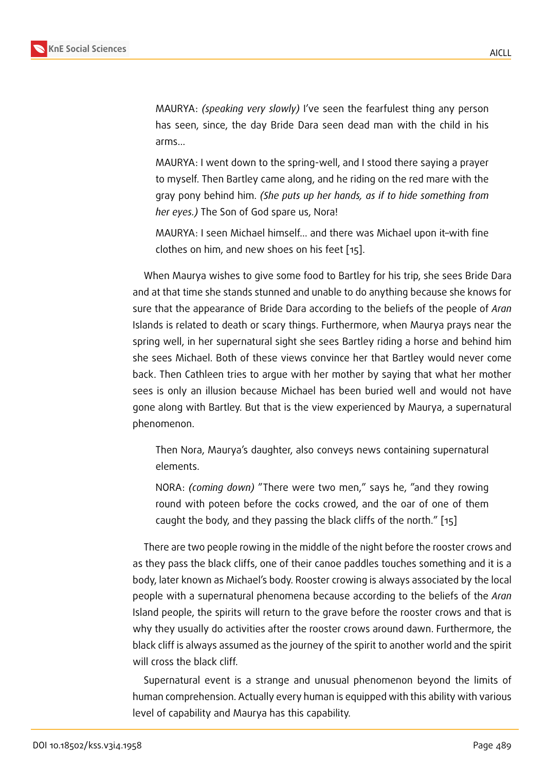MAURYA: *(speaking very slowly)* I've seen the fearfulest thing any person has seen, since, the day Bride Dara seen dead man with the child in his arms…

MAURYA: I went down to the spring-well, and I stood there saying a prayer to myself. Then Bartley came along, and he riding on the red mare with the gray pony behind him. *(She puts up her hands, as if to hide something from her eyes.)* The Son of God spare us, Nora!

MAURYA: I seen Michael himself… and there was Michael upon it–with fine clothes on him, and new shoes on his feet [15].

When Maurya wishes to give some food to Bartley for his trip, she sees Bride Dara and at that time she stands stunned and unable t[o d](#page-9-0)o anything because she knows for sure that the appearance of Bride Dara according to the beliefs of the people of *Aran* Islands is related to death or scary things. Furthermore, when Maurya prays near the spring well, in her supernatural sight she sees Bartley riding a horse and behind him she sees Michael. Both of these views convince her that Bartley would never come back. Then Cathleen tries to argue with her mother by saying that what her mother sees is only an illusion because Michael has been buried well and would not have gone along with Bartley. But that is the view experienced by Maurya, a supernatural phenomenon.

Then Nora, Maurya's daughter, also conveys news containing supernatural elements.

NORA: *(coming down)* "There were two men," says he, "and they rowing round with poteen before the cocks crowed, and the oar of one of them caught the body, and they passing the black cliffs of the north." [15]

There are two people rowing in the middle of the night before the rooster crows and as they pass the black cliffs, one of their canoe paddles touches some[thi](#page-9-0)ng and it is a body, later known as Michael's body. Rooster crowing is always associated by the local people with a supernatural phenomena because according to the beliefs of the *Aran* Island people, the spirits will return to the grave before the rooster crows and that is why they usually do activities after the rooster crows around dawn. Furthermore, the black cliff is always assumed as the journey of the spirit to another world and the spirit will cross the black cliff.

Supernatural event is a strange and unusual phenomenon beyond the limits of human comprehension. Actually every human is equipped with this ability with various level of capability and Maurya has this capability.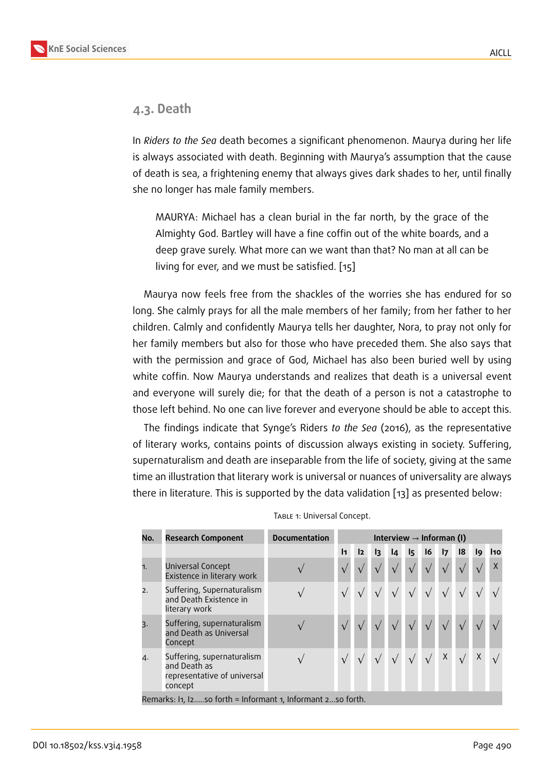### **4.3. Death**

In *Riders to the Sea* death becomes a significant phenomenon. Maurya during her life is always associated with death. Beginning with Maurya's assumption that the cause of death is sea, a frightening enemy that always gives dark shades to her, until finally she no longer has male family members.

MAURYA: Michael has a clean burial in the far north, by the grace of the Almighty God. Bartley will have a fine coffin out of the white boards, and a deep grave surely. What more can we want than that? No man at all can be living for ever, and we must be satisfied. [15]

Maurya now feels free from the shackles of the worries she has endured for so long. She calmly prays for all the male membe[rs o](#page-9-0)f her family; from her father to her children. Calmly and confidently Maurya tells her daughter, Nora, to pray not only for her family members but also for those who have preceded them. She also says that with the permission and grace of God, Michael has also been buried well by using white coffin. Now Maurya understands and realizes that death is a universal event and everyone will surely die; for that the death of a person is not a catastrophe to those left behind. No one can live forever and everyone should be able to accept this.

The findings indicate that Synge's Riders *to the Sea* (2016), as the representative of literary works, contains points of discussion always existing in society. Suffering, supernaturalism and death are inseparable from the life of society, giving at the same time an illustration that literary work is universal or nuances of universality are always there in literature. This is supported by the data validation [13] as presented below:

| No.                                                         | <b>Research Component</b>                                                            | <b>Documentation</b> | Interview $\rightarrow$ Informan (I) |    |                |                 |            |            |            |                |             |     |
|-------------------------------------------------------------|--------------------------------------------------------------------------------------|----------------------|--------------------------------------|----|----------------|-----------------|------------|------------|------------|----------------|-------------|-----|
|                                                             |                                                                                      |                      | $\mathbf{I}$                         | 12 | $\overline{3}$ | $\overline{14}$ | I5         | 16         | 17         | $\overline{8}$ | l9          | 110 |
| 1.                                                          | Universal Concept<br>Existence in literary work                                      |                      |                                      |    |                |                 | $\sqrt{ }$ | $\sqrt{ }$ | $\sqrt{ }$ |                |             | X   |
| 2.                                                          | Suffering, Supernaturalism<br>and Death Existence in<br>literary work                |                      |                                      |    |                |                 |            |            |            |                |             |     |
| $\overline{3}$ .                                            | Suffering, supernaturalism<br>and Death as Universal<br>Concept                      |                      |                                      |    |                |                 |            |            |            |                |             |     |
| 4.                                                          | Suffering, supernaturalism<br>and Death as<br>representative of universal<br>concept |                      |                                      |    |                |                 |            |            | X          |                | $\mathsf X$ |     |
| Remarks: In, Izso forth = Informant 1, Informant 2so forth. |                                                                                      |                      |                                      |    |                |                 |            |            |            |                |             |     |

|  | TABLE 1: Universal Concept. |  |
|--|-----------------------------|--|
|--|-----------------------------|--|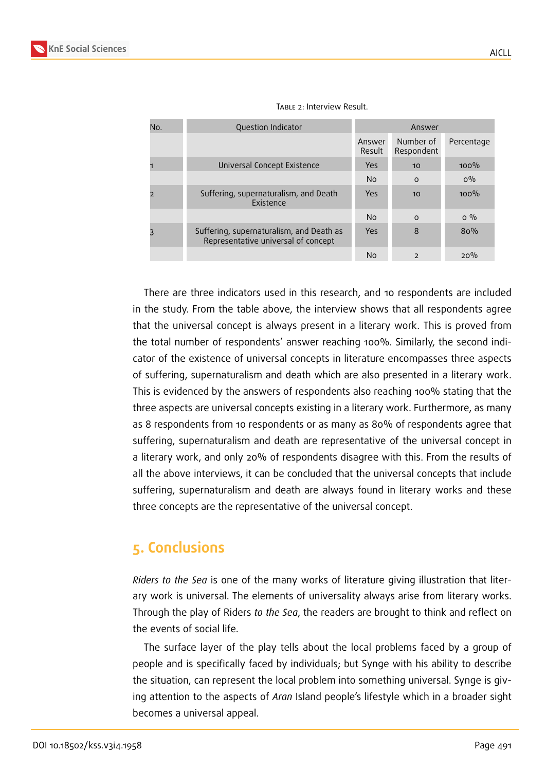| No.            | Question Indicator                                                              | Answer           |                          |            |  |
|----------------|---------------------------------------------------------------------------------|------------------|--------------------------|------------|--|
|                |                                                                                 | Answer<br>Result | Number of<br>Respondent  | Percentage |  |
|                | Universal Concept Existence                                                     | Yes              | 10                       | 100%       |  |
|                |                                                                                 | <b>No</b>        | $\Omega$                 | $O\%$      |  |
| $\overline{2}$ | Suffering, supernaturalism, and Death<br>Existence                              | Yes              | 10                       | $100\%$    |  |
|                |                                                                                 | <b>No</b>        | $\Omega$                 | $0\%$      |  |
| 3              | Suffering, supernaturalism, and Death as<br>Representative universal of concept | Yes              | 8                        | 80%        |  |
|                |                                                                                 | <b>No</b>        | $\overline{\phantom{0}}$ | 20%        |  |

#### TABLE 2: Interview Result.

There are three indicators used in this research, and 10 respondents are included in the study. From the table above, the interview shows that all respondents agree that the universal concept is always present in a literary work. This is proved from the total number of respondents' answer reaching 100%. Similarly, the second indicator of the existence of universal concepts in literature encompasses three aspects of suffering, supernaturalism and death which are also presented in a literary work. This is evidenced by the answers of respondents also reaching 100% stating that the three aspects are universal concepts existing in a literary work. Furthermore, as many as 8 respondents from 10 respondents or as many as 80% of respondents agree that suffering, supernaturalism and death are representative of the universal concept in a literary work, and only 20% of respondents disagree with this. From the results of all the above interviews, it can be concluded that the universal concepts that include suffering, supernaturalism and death are always found in literary works and these three concepts are the representative of the universal concept.

## **5. Conclusions**

*Riders to the Sea* is one of the many works of literature giving illustration that literary work is universal. The elements of universality always arise from literary works. Through the play of Riders *to the Sea*, the readers are brought to think and reflect on the events of social life.

The surface layer of the play tells about the local problems faced by a group of people and is specifically faced by individuals; but Synge with his ability to describe the situation, can represent the local problem into something universal. Synge is giving attention to the aspects of *Aran* Island people's lifestyle which in a broader sight becomes a universal appeal.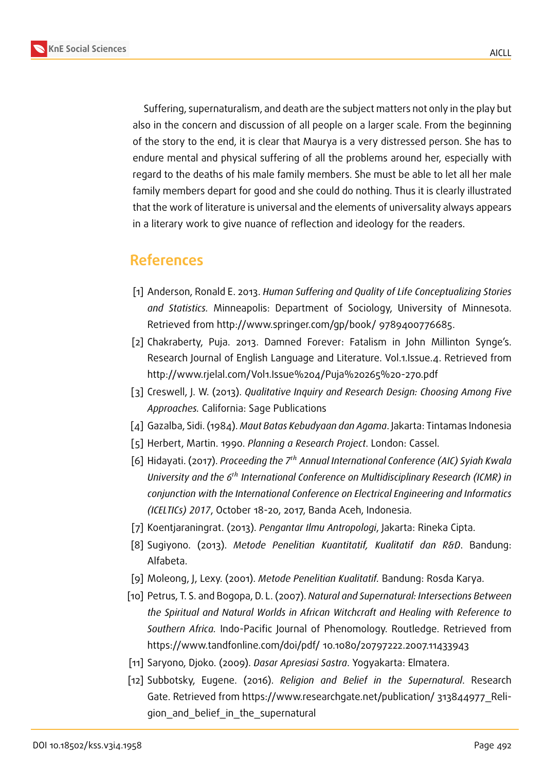

Suffering, supernaturalism, and death are the subject matters not only in the play but also in the concern and discussion of all people on a larger scale. From the beginning of the story to the end, it is clear that Maurya is a very distressed person. She has to endure mental and physical suffering of all the problems around her, especially with regard to the deaths of his male family members. She must be able to let all her male family members depart for good and she could do nothing. Thus it is clearly illustrated that the work of literature is universal and the elements of universality always appears in a literary work to give nuance of reflection and ideology for the readers.

## **References**

- [1] Anderson, Ronald E. 2013. *Human Suffering and Quality of Life Conceptualizing Stories and Statistics.* Minneapolis: Department of Sociology, University of Minnesota. Retrieved from http://www.springer.com/gp/book/ 9789400776685.
- [2] Chakraberty, Puja. 2013. Damned Forever: Fatalism in John Millinton Synge's. Research Journal of English Language and Literature. Vol.1.Issue.4. Retrieved from http://www.rjelal.com/Vol1.Issue%204/Puja%20265%20-270.pdf
- [3] Creswell, J. W. (2013). *Qualitative Inquiry and Research Design: Choosing Among Five Approaches.* California: Sage Publications
- [4] Gazalba, Sidi. (1984). *Maut Batas Kebudyaan dan Agama*. Jakarta: Tintamas Indonesia
- [5] Herbert, Martin. 1990. *Planning a Research Project*. London: Cassel.
- [6] Hidayati. (2017). *Proceeding the 7<sup>th</sup> Annual International Conference (AIC) Syiah Kwala University and the 6<sup>th</sup> International Conference on Multidisciplinary Research (ICMR) in conjunction with the International Conference on Electrical Engineering and Informatics (ICELTICs) 2017*, October 18-20, 2017, Banda Aceh, Indonesia.
- [7] Koentjaraningrat. (2013). *Pengantar Ilmu Antropologi*, Jakarta: Rineka Cipta.
- [8] Sugiyono. (2013). *Metode Penelitian Kuantitatif, Kualitatif dan R&D*. Bandung: Alfabeta.
- [9] Moleong, J, Lexy. (2001). *Metode Penelitian Kualitatif.* Bandung: Rosda Karya.
- <span id="page-8-1"></span>[10] Petrus, T. S. and Bogopa, D. L. (2007). *Natural and Supernatural: Intersections Between the Spiritual and Natural Worlds in African Witchcraft and Healing with Reference to Southern Africa.* Indo-Pacific Journal of Phenomology. Routledge. Retrieved from https://www.tandfonline.com/doi/pdf/ 10.1080/20797222.2007.11433943
- [11] Saryono, Djoko. (2009). *Dasar Apresiasi Sastra*. Yogyakarta: Elmatera.
- <span id="page-8-0"></span>[12] Subbotsky, Eugene. (2016). *Religion and Belief in the Supernatural*. Research Gate. Retrieved from https://www.researchgate.net/publication/ 313844977 Religion and belief in the supernatural